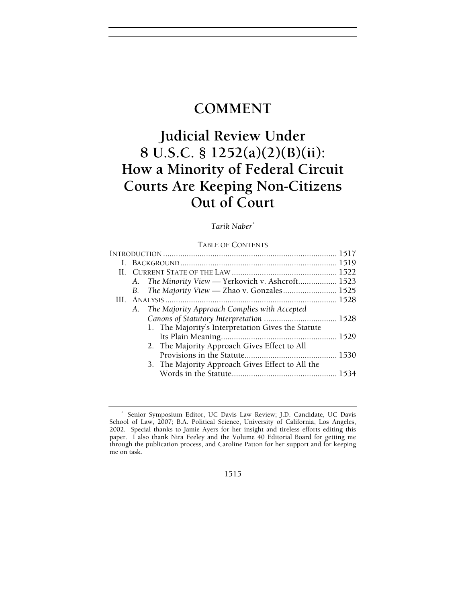## **COMMENT**

# **Judicial Review Under 8 U.S.C. § 1252(a)(2)(B)(ii): How a Minority of Federal Circuit Courts Are Keeping Non-Citizens Out of Court**

## *Tarik Naber\**

#### TABLE OF CONTENTS

|  | A. The Minority View — Yerkovich v. Ashcroft 1523  |  |  |
|--|----------------------------------------------------|--|--|
|  | B. The Majority View — Zhao v. Gonzales 1525       |  |  |
|  |                                                    |  |  |
|  | A. The Majority Approach Complies with Accepted    |  |  |
|  |                                                    |  |  |
|  | 1. The Majority's Interpretation Gives the Statute |  |  |
|  |                                                    |  |  |
|  | 2. The Majority Approach Gives Effect to All       |  |  |
|  |                                                    |  |  |
|  | 3. The Majority Approach Gives Effect to All the   |  |  |
|  |                                                    |  |  |
|  |                                                    |  |  |

1515

<sup>\*</sup> Senior Symposium Editor, UC Davis Law Review; J.D. Candidate, UC Davis School of Law, 2007; B.A. Political Science, University of California, Los Angeles, 2002. Special thanks to Jamie Ayers for her insight and tireless efforts editing this paper. I also thank Nira Feeley and the Volume 40 Editorial Board for getting me through the publication process, and Caroline Patton for her support and for keeping me on task.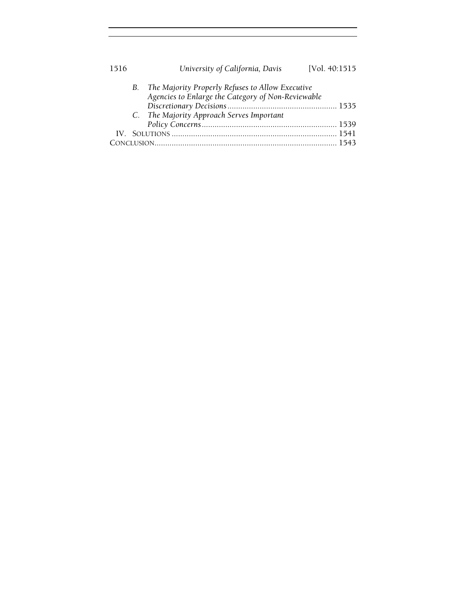| 1516 |  | University of California, Davis                                                                           | [Vol. 40:1515] |  |
|------|--|-----------------------------------------------------------------------------------------------------------|----------------|--|
|      |  | B. The Majority Properly Refuses to Allow Executive<br>Agencies to Enlarge the Category of Non-Reviewable |                |  |
|      |  |                                                                                                           |                |  |
|      |  | C. The Majority Approach Serves Important                                                                 |                |  |
|      |  |                                                                                                           |                |  |
|      |  |                                                                                                           |                |  |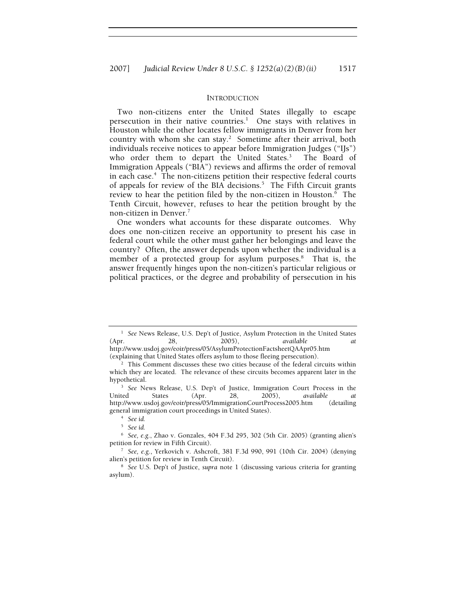#### INTRODUCTION

Two non-citizens enter the United States illegally to escape persecution in their native countries.<sup>1</sup> One stays with relatives in Houston while the other locates fellow immigrants in Denver from her country with whom she can stay.<sup>2</sup> Sometime after their arrival, both individuals receive notices to appear before Immigration Judges ("IJs") who order them to depart the United States.<sup>3</sup> The Board of Immigration Appeals ("BIA") reviews and affirms the order of removal in each case.<sup>4</sup> The non-citizens petition their respective federal courts of appeals for review of the BIA decisions.<sup>5</sup> The Fifth Circuit grants review to hear the petition filed by the non-citizen in Houston.<sup>6</sup> The Tenth Circuit, however, refuses to hear the petition brought by the non-citizen in Denver.7

One wonders what accounts for these disparate outcomes. Why does one non-citizen receive an opportunity to present his case in federal court while the other must gather her belongings and leave the country? Often, the answer depends upon whether the individual is a member of a protected group for asylum purposes.<sup>8</sup> That is, the answer frequently hinges upon the non-citizen's particular religious or political practices, or the degree and probability of persecution in his

(explaining that United States offers asylum to those fleeing persecution). 2

<sup>&</sup>lt;sup>1</sup> See News Release, U.S. Dep't of Justice, Asylum Protection in the United States (Apr. 28, 2005), *available at* http://www.usdoj.gov/eoir/press/05/AsylumProtectionFactsheetQAApr05.htm

<sup>&</sup>lt;sup>2</sup> This Comment discusses these two cities because of the federal circuits within which they are located. The relevance of these circuits becomes apparent later in the hypothetical.

<sup>&</sup>lt;sup>3</sup> See News Release, U.S. Dep't of Justice, Immigration Court Process in the United States (Apr. 28, 2005), *available at* http://www.usdoj.gov/eoir/press/05/ImmigrationCourtProcess2005.htm (detailing general immigration court proceedings in United States). 4

*See id.*

<sup>5</sup>  *See id.*

<sup>6</sup>  *See, e.g.*, Zhao v. Gonzales, 404 F.3d 295, 302 (5th Cir. 2005) (granting alien's petition for review in Fifth Circuit). 7

*See, e.g.*, Yerkovich v. Ashcroft, 381 F.3d 990, 991 (10th Cir. 2004) (denying alien's petition for review in Tenth Circuit).

*See* U.S. Dep't of Justice, *supra* note 1 (discussing various criteria for granting asylum).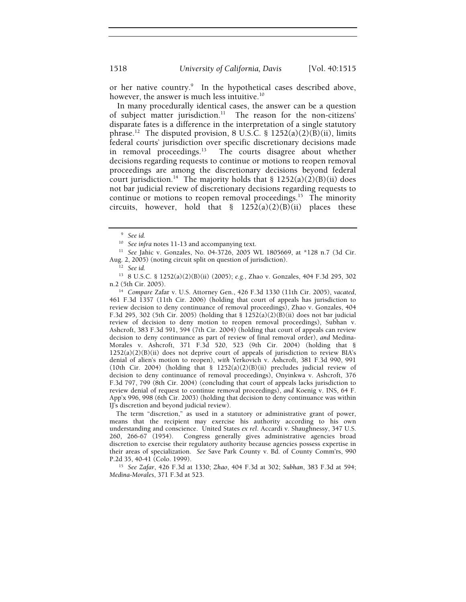or her native country.<sup>9</sup> In the hypothetical cases described above, however, the answer is much less intuitive.<sup>10</sup>

In many procedurally identical cases, the answer can be a question of subject matter jurisdiction.<sup>11</sup> The reason for the non-citizens' disparate fates is a difference in the interpretation of a single statutory phrase.<sup>12</sup> The disputed provision, 8 U.S.C. § 1252(a)(2)(B)(ii), limits federal courts' jurisdiction over specific discretionary decisions made in removal proceedings.13 The courts disagree about whether decisions regarding requests to continue or motions to reopen removal proceedings are among the discretionary decisions beyond federal court jurisdiction.<sup>14</sup> The majority holds that §  $1252(a)(2)(B)(ii)$  does not bar judicial review of discretionary decisions regarding requests to continue or motions to reopen removal proceedings.<sup>15</sup> The minority circuits, however, hold that  $\S$  1252(a)(2)(B)(ii) places these

13 8 U.S.C. § 1252(a)(2)(B)(ii) (2005); *e.g.*, Zhao v. Gonzales, 404 F.3d 295, 302

n.2 (5th Cir. 2005). 14 *Compare* Zafar v. U.S. Attorney Gen., 426 F.3d 1330 (11th Cir. 2005), *vacated*, 461 F.3d 1357 (11th Cir. 2006) (holding that court of appeals has jurisdiction to review decision to deny continuance of removal proceedings), Zhao v. Gonzales, 404 F.3d 295, 302 (5th Cir. 2005) (holding that §  $1252(a)(2)(B)(ii)$  does not bar judicial review of decision to deny motion to reopen removal proceedings), Subhan v. Ashcroft, 383 F.3d 591, 594 (7th Cir. 2004) (holding that court of appeals can review decision to deny continuance as part of review of final removal order), *and* Medina-Morales v. Ashcroft, 371 F.3d 520, 523 (9th Cir. 2004) (holding that §  $1252(a)(2)(B)(ii)$  does not deprive court of appeals of jurisdiction to review BIA's denial of alien's motion to reopen), *with* Yerkovich v. Ashcroft, 381 F.3d 990, 991 (10th Cir. 2004) (holding that § 1252(a)(2)(B)(ii) precludes judicial review of decision to deny continuance of removal proceedings), Onyinkwa v. Ashcroft, 376 F.3d 797, 799 (8th Cir. 2004) (concluding that court of appeals lacks jurisdiction to review denial of request to continue removal proceedings), *and* Koenig v. INS, 64 F. App'x 996, 998 (6th Cir. 2003) (holding that decision to deny continuance was within IJ's discretion and beyond judicial review).

The term "discretion," as used in a statutory or administrative grant of power, means that the recipient may exercise his authority according to his own understanding and conscience. United States *ex rel*. Accardi v. Shaughnessy, 347 U.S. 260, 266-67 (1954). Congress generally gives administrative agencies broad discretion to exercise their regulatory authority because agencies possess expertise in their areas of specialization. *See* Save Park County v. Bd. of County Comm'rs, 990 P.2d 35, 40-41 (Colo. 1999). 15 *See Zafar*, 426 F.3d at 1330; *Zhao*, 404 F.3d at 302; *Subhan*, 383 F.3d at 594;

*Medina-Morales*, 371 F.3d at 523.

<sup>9</sup>  *See id.*

<sup>10</sup> *See infra* notes 11-13 and accompanying text. 11 *See* Jahic v. Gonzales, No. 04-3726, 2005 WL 1805669, at \*128 n.7 (3d Cir. Aug. 2, 2005) (noting circuit split on question of jurisdiction). 12 *See id.*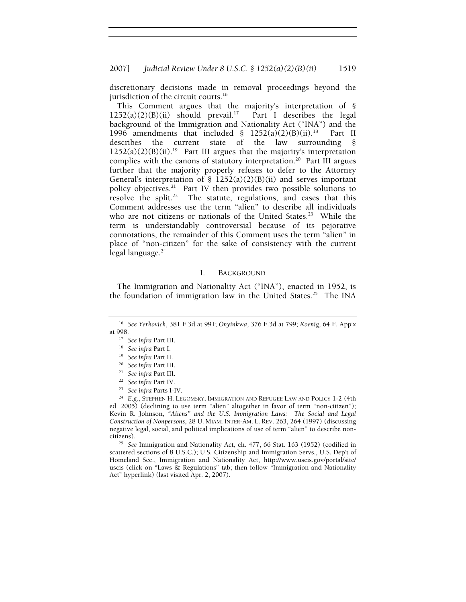discretionary decisions made in removal proceedings beyond the jurisdiction of the circuit courts.<sup>16</sup>

This Comment argues that the majority's interpretation of §  $1252(a)(2)(B)(ii)$  should prevail.<sup>17</sup> Part I describes the legal background of the Immigration and Nationality Act ("INA") and the 1996 amendments that included  $\S$  1252(a)(2)(B)(ii).<sup>18</sup> Part II describes the current state of the law surrounding §  $1252(a)(2)(B)(ii).<sup>19</sup>$  Part III argues that the majority's interpretation complies with the canons of statutory interpretation.<sup>20</sup> Part III argues further that the majority properly refuses to defer to the Attorney General's interpretation of  $\S$  1252(a)(2)(B)(ii) and serves important policy objectives.<sup>21</sup> Part IV then provides two possible solutions to resolve the split.<sup>22</sup> The statute, regulations, and cases that this Comment addresses use the term "alien" to describe all individuals who are not citizens or nationals of the United States.<sup>23</sup> While the term is understandably controversial because of its pejorative connotations, the remainder of this Comment uses the term "alien" in place of "non-citizen" for the sake of consistency with the current legal language.<sup>24</sup>

#### I. BACKGROUND

The Immigration and Nationality Act ("INA"), enacted in 1952, is the foundation of immigration law in the United States.<sup>25</sup> The INA

<sup>25</sup> See Immigration and Nationality Act, ch. 477, 66 Stat. 163 (1952) (codified in scattered sections of 8 U.S.C.); U.S. Citizenship and Immigration Servs., U.S. Dep't of Homeland Sec., Immigration and Nationality Act, http://www.uscis.gov/portal/site/ uscis (click on "Laws  $\&$  Regulations" tab; then follow "Immigration and Nationality Act" hyperlink) (last visited Apr. 2, 2007).

<sup>16</sup> *See Yerkovich*, 381 F.3d at 991; *Onyinkwa*, 376 F.3d at 799; *Koenig*, 64 F. App'x at 998.<br> $17$  See infra Part III.

<sup>&</sup>lt;sup>18</sup> See infra Part I.<br>
<sup>19</sup> See infra Part II.<br>
<sup>20</sup> See infra Part III.<br>
<sup>21</sup> See infra Part III.<br>
<sup>22</sup> See infra Part IV.<br>
<sup>23</sup> See infra Parts I-IV.<br>
<sup>23</sup> See infra Parts I-IV.<br>
<sup>24</sup> E.g., STEPHEN H. LEGOMSKY, IMMIGRA ed. 2005) (declining to use term "alien" altogether in favor of term "non-citizen"); Kevin R. Johnson, *"Aliens" and the U.S. Immigration Laws: The Social and Legal Construction of Nonpersons*, 28 U. MIAMI INTER-AM. L. REV. 263, 264 (1997) (discussing negative legal, social, and political implications of use of term "alien" to describe non-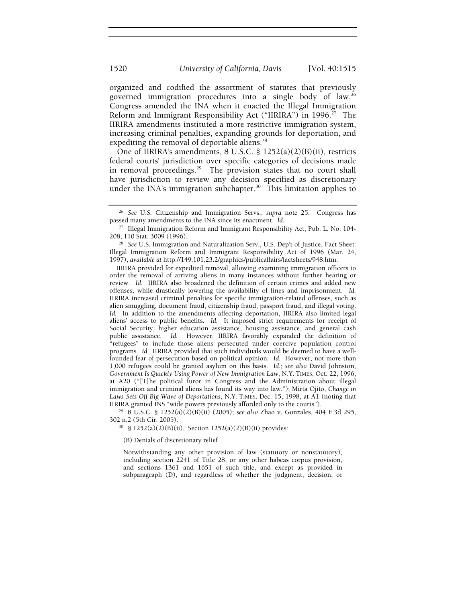organized and codified the assortment of statutes that previously governed immigration procedures into a single body of law.26 Congress amended the INA when it enacted the Illegal Immigration Reform and Immigrant Responsibility Act ("IIRIRA") in 1996.<sup>27</sup> The IIRIRA amendments instituted a more restrictive immigration system, increasing criminal penalties, expanding grounds for deportation, and expediting the removal of deportable aliens.<sup>28</sup>

One of IIRIRA's amendments, 8 U.S.C. § 1252(a)(2)(B)(ii), restricts federal courts' jurisdiction over specific categories of decisions made in removal proceedings.<sup>29</sup> The provision states that no court shall have jurisdiction to review any decision specified as discretionary under the INA's immigration subchapter.<sup>30</sup> This limitation applies to

IIRIRA provided for expedited removal, allowing examining immigration officers to order the removal of arriving aliens in many instances without further hearing or review. *Id.* IIRIRA also broadened the definition of certain crimes and added new offenses, while drastically lowering the availability of fines and imprisonment. *Id.* IIRIRA increased criminal penalties for specific immigration-related offenses, such as alien smuggling, document fraud, citizenship fraud, passport fraud, and illegal voting. *Id.* In addition to the amendments affecting deportation, IIRIRA also limited legal aliens' access to public benefits. *Id.* It imposed strict requirements for receipt of Social Security, higher education assistance, housing assistance, and general cash public assistance. *Id.* However, IIRIRA favorably expanded the definition of "refugees" to include those aliens persecuted under coercive population control programs. *Id.* IIRIRA provided that such individuals would be deemed to have a wellfounded fear of persecution based on political opinion. *Id.* However, not more than 1,000 refugees could be granted asylum on this basis. *Id.*; *see also* David Johnston, *Government Is Quickly Using Power of New Immigration Law*, N.Y. TIMES, Oct. 22, 1996, at A20 ("[T]he political furor in Congress and the Administration about illegal immigration and criminal aliens has found its way into law."); Mirta Ojito, *Change in*  Laws Sets Off Big Wave of Deportations, N.Y. TIMES, Dec. 15, 1998, at A1 (noting that IIRIRA granted INS "wide powers previously afforded only to the courts").

<sup>29</sup> 8 U.S.C. § 1252(a)(2)(B)(ii) (2005); *see also Zhao v. Gonzales, 404 F.3d 295,* 302 n.2 (5th Cir. 2005).

 $30\,$  § 1252(a)(2)(B)(ii). Section 1252(a)(2)(B)(ii) provides:

(B) Denials of discretionary relief

Notwithstanding any other provision of law (statutory or nonstatutory), including section 2241 of Title 28, or any other habeas corpus provision, and sections 1361 and 1651 of such title, and except as provided in subparagraph (D), and regardless of whether the judgment, decision, or

<sup>&</sup>lt;sup>26</sup> See U.S. Citizenship and Immigration Servs., *supra* note 25. Congress has passed many amendments to the INA since its enactment. *Id*.

<sup>&</sup>lt;sup>27</sup> Illegal Immigration Reform and Immigrant Responsibility Act, Pub. L. No. 104-

<sup>208, 110</sup> Stat. 3009 (1996). 28 *See* U.S. Immigration and Naturalization Serv., U.S. Dep't of Justice, Fact Sheet: Illegal Immigration Reform and Immigrant Responsibility Act of 1996 (Mar. 24, 1997), *available at* http://149.101.23.2/graphics/publicaffairs/factsheets/948.htm.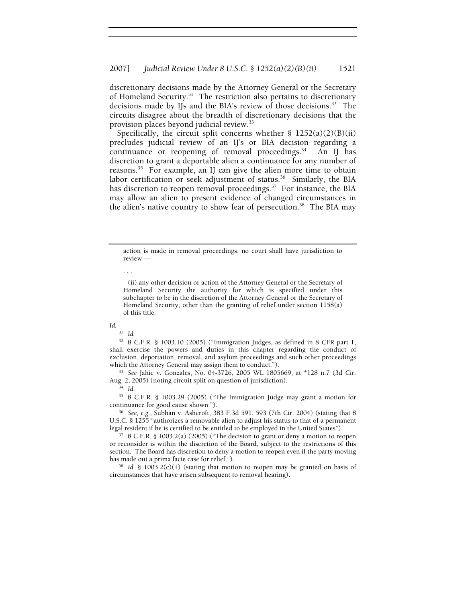discretionary decisions made by the Attorney General or the Secretary of Homeland Security.<sup>31</sup> The restriction also pertains to discretionary decisions made by IJs and the BIA's review of those decisions.32 The circuits disagree about the breadth of discretionary decisions that the provision places beyond judicial review.33

Specifically, the circuit split concerns whether  $\S$  1252(a)(2)(B)(ii) precludes judicial review of an IJ's or BIA decision regarding a continuance or reopening of removal proceedings. $34$  An IJ has discretion to grant a deportable alien a continuance for any number of reasons.35 For example, an IJ can give the alien more time to obtain labor certification or seek adjustment of status.<sup>36</sup> Similarly, the BIA has discretion to reopen removal proceedings.<sup>37</sup> For instance, the BIA may allow an alien to present evidence of changed circumstances in the alien's native country to show fear of persecution.<sup>38</sup> The BIA may

action is made in removal proceedings, no court shall have jurisdiction to review —

. . .

#### *Id.*

<sup>31</sup> *Id.*

32 8 C.F.R. § 1003.10 (2005) ("Immigration Judges, as defined in 8 CFR part 1, shall exercise the powers and duties in this chapter regarding the conduct of exclusion, deportation, removal, and asylum proceedings and such other proceedings which the Attorney General may assign them to conduct."). 33 *See* Jahic v. Gonzales, No. 04-3726, 2005 WL 1805669, at \*128 n.7 (3d Cir.

Aug. 2, 2005) (noting circuit split on question of jurisdiction). 34 *Id.*

35 8 C.F.R. § 1003.29 (2005) ("The Immigration Judge may grant a motion for continuance for good cause shown."). 36 *See, e.g.*, Subhan v. Ashcroft, 383 F.3d 591, 593 (7th Cir. 2004) (stating that 8

U.S.C. § 1255 "authorizes a removable alien to adjust his status to that of a permanent

legal resident if he is certified to be entitled to be employed in the United States"). 37 8 C.F.R. § 1003.2(a) (2005) ("The decision to grant or deny a motion to reopen or reconsider is within the discretion of the Board, subject to the restrictions of this section. The Board has discretion to deny a motion to reopen even if the party moving has made out a prima facie case for relief.").<br><sup>38</sup> Id. § 1003.2(c)(1) (stating that motion to reopen may be granted on basis of

circumstances that have arisen subsequent to removal hearing).

 <sup>(</sup>ii) any other decision or action of the Attorney General or the Secretary of Homeland Security the authority for which is specified under this subchapter to be in the discretion of the Attorney General or the Secretary of Homeland Security, other than the granting of relief under section 1158(a) of this title.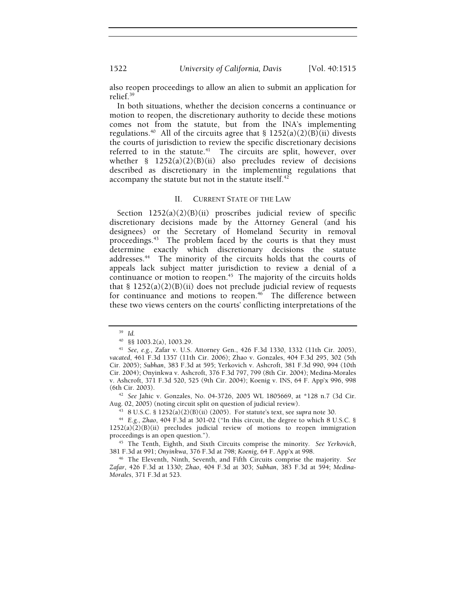also reopen proceedings to allow an alien to submit an application for relief.39

In both situations, whether the decision concerns a continuance or motion to reopen, the discretionary authority to decide these motions comes not from the statute, but from the INA's implementing regulations.<sup>40</sup> All of the circuits agree that §  $1252(a)(2)(B)(ii)$  divests the courts of jurisdiction to review the specific discretionary decisions referred to in the statute. $41$  The circuits are split, however, over whether § 1252(a)(2)(B)(ii) also precludes review of decisions described as discretionary in the implementing regulations that accompany the statute but not in the statute itself.<sup>42</sup>

#### II. CURRENT STATE OF THE LAW

Section 1252(a)(2)(B)(ii) proscribes judicial review of specific discretionary decisions made by the Attorney General (and his designees) or the Secretary of Homeland Security in removal proceedings.<sup>43</sup> The problem faced by the courts is that they must determine exactly which discretionary decisions the statute addresses.<sup>44</sup> The minority of the circuits holds that the courts of appeals lack subject matter jurisdiction to review a denial of a continuance or motion to reopen.<sup>45</sup> The majority of the circuits holds that  $\S$  1252(a)(2)(B)(ii) does not preclude judicial review of requests for continuance and motions to reopen.<sup>46</sup> The difference between these two views centers on the courts' conflicting interpretations of the

<sup>42</sup> See Jahic v. Gonzales, No. 04-3726, 2005 WL 1805669, at \*128 n.7 (3d Cir. Aug. 02, 2005) (noting circuit split on question of judicial review).

<sup>43</sup> 8 U.S.C. § 1252(a)(2)(B)(ii) (2005). For statute's text, see supra note 30.<br><sup>44</sup> E.g., *Zhao*, 404 F.3d at 301-02 ("In this circuit, the degree to which 8 U.S.C. §

 $1252(a)(2)(B)(ii)$  precludes judicial review of motions to reopen immigration proceedings is an open question."). 45 The Tenth, Eighth, and Sixth Circuits comprise the minority. *See Yerkovich*,

381 F.3d at 991; *Onyinkwa*, 376 F.3d at 798; *Koenig*, 64 F. App'x at 998. 46 The Eleventh, Ninth, Seventh, and Fifth Circuits comprise the majority. *See* 

*Zafar*, 426 F.3d at 1330; *Zhao*, 404 F.3d at 303; *Subhan*, 383 F.3d at 594; *Medina-Morales*, 371 F.3d at 523.

<sup>39</sup> *Id.*

<sup>40</sup> §§ 1003.2(a), 1003.29. 41 *See, e.g.*, Zafar v. U.S. Attorney Gen., 426 F.3d 1330, 1332 (11th Cir. 2005), *vacated*, 461 F.3d 1357 (11th Cir. 2006); Zhao v. Gonzales, 404 F.3d 295, 302 (5th Cir. 2005); *Subhan*, 383 F.3d at 595; Yerkovich v. Ashcroft, 381 F.3d 990, 994 (10th Cir. 2004); Onyinkwa v. Ashcroft, 376 F.3d 797, 799 (8th Cir. 2004); Medina-Morales v. Ashcroft, 371 F.3d 520, 525 (9th Cir. 2004); Koenig v. INS, 64 F. App'x 996, 998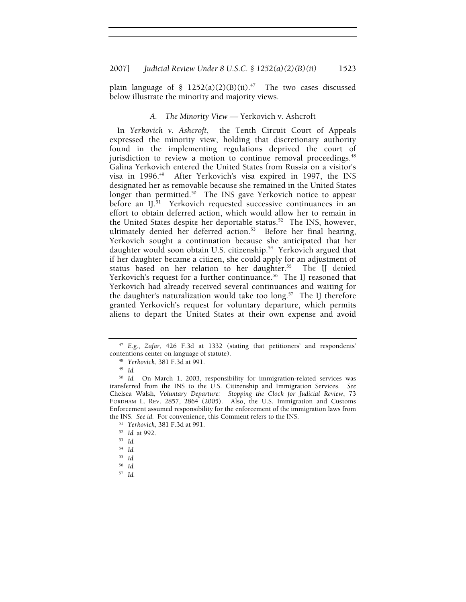plain language of §  $1252(a)(2)(B)(ii).$ <sup>47</sup> The two cases discussed below illustrate the minority and majority views.

### *A. The Minority View —* Yerkovich v. Ashcroft

In *Yerkovich v. Ashcroft*, the Tenth Circuit Court of Appeals expressed the minority view, holding that discretionary authority found in the implementing regulations deprived the court of jurisdiction to review a motion to continue removal proceedings.<sup>48</sup> Galina Yerkovich entered the United States from Russia on a visitor's visa in 1996.<sup>49</sup> After Yerkovich's visa expired in 1997, the INS designated her as removable because she remained in the United States longer than permitted.<sup>50</sup> The INS gave Yerkovich notice to appear before an IJ.<sup>51</sup> Yerkovich requested successive continuances in an effort to obtain deferred action, which would allow her to remain in the United States despite her deportable status.<sup>52</sup> The INS, however, ultimately denied her deferred action.53 Before her final hearing, Yerkovich sought a continuation because she anticipated that her daughter would soon obtain U.S. citizenship.<sup>54</sup> Yerkovich argued that if her daughter became a citizen, she could apply for an adjustment of status based on her relation to her daughter.<sup>55</sup> The IJ denied Yerkovich's request for a further continuance.<sup>56</sup> The IJ reasoned that Yerkovich had already received several continuances and waiting for the daughter's naturalization would take too  $\log^{57}$  The IJ therefore granted Yerkovich's request for voluntary departure, which permits aliens to depart the United States at their own expense and avoid

<sup>47</sup> *E.g.*, *Zafar*, 426 F.3d at 1332 (stating that petitioners' and respondents' contentions center on language of statute). 48 *Yerkovich*, 381 F.3d at 991. 49 *Id.*

<sup>50</sup> *Id.* On March 1, 2003, responsibility for immigration-related services was transferred from the INS to the U.S. Citizenship and Immigration Services. *See*  Chelsea Walsh, *Voluntary Departure: Stopping the Clock for Judicial Review*, 73 FORDHAM L. REV. 2857, 2864 (2005). Also, the U.S. Immigration and Customs Enforcement assumed responsibility for the enforcement of the immigration laws from the INS. *See id.* For convenience, this Comment refers to the INS.<br><sup>51</sup> *Yerkovich*, 381 F.3d at 991.<br><sup>52</sup> *Id.* at 992.<br><sup>53</sup> *Id* 

<sup>54</sup> *Id.*

<sup>55</sup> *Id.*

<sup>56</sup> *Id.*

<sup>57</sup> *Id.*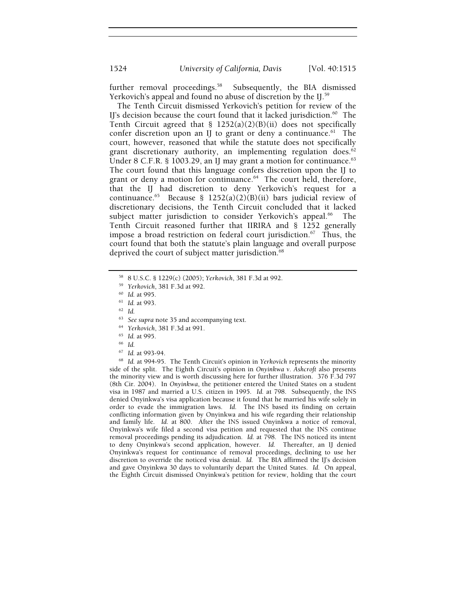1524 *University of California, Davis* [Vol. 40:1515

further removal proceedings.<sup>58</sup> Subsequently, the BIA dismissed Yerkovich's appeal and found no abuse of discretion by the IJ.<sup>59</sup>

The Tenth Circuit dismissed Yerkovich's petition for review of the IJ's decision because the court found that it lacked jurisdiction. $60$  The Tenth Circuit agreed that § 1252(a)(2)(B)(ii) does not specifically confer discretion upon an IJ to grant or deny a continuance. $61$  The court, however, reasoned that while the statute does not specifically grant discretionary authority, an implementing regulation does. $62$ Under 8 C.F.R. § 1003.29, an IJ may grant a motion for continuance. $63$ The court found that this language confers discretion upon the IJ to grant or deny a motion for continuance.<sup>64</sup> The court held, therefore, that the IJ had discretion to deny Yerkovich's request for a continuance.<sup>65</sup> Because § 1252(a)(2)(B)(ii) bars judicial review of discretionary decisions, the Tenth Circuit concluded that it lacked subject matter jurisdiction to consider Yerkovich's appeal.<sup>66</sup> The Tenth Circuit reasoned further that IIRIRA and § 1252 generally impose a broad restriction on federal court jurisdiction.<sup>67</sup> Thus, the court found that both the statute's plain language and overall purpose deprived the court of subject matter jurisdiction.<sup>68</sup>

- 
- 
- 

<sup>68</sup> Id. at 994-95. The Tenth Circuit's opinion in *Yerkovich* represents the minority side of the split. The Eighth Circuit's opinion in *Onyinkwa v. Ashcroft* also presents the minority view and is worth discussing here for further illustration. 376 F.3d 797 (8th Cir. 2004). In *Onyinkwa*, the petitioner entered the United States on a student visa in 1987 and married a U.S. citizen in 1995. *Id.* at 798. Subsequently, the INS denied Onyinkwa's visa application because it found that he married his wife solely in order to evade the immigration laws. *Id.* The INS based its finding on certain conflicting information given by Onyinkwa and his wife regarding their relationship and family life. *Id.* at 800. After the INS issued Onyinkwa a notice of removal, Onyinkwa's wife filed a second visa petition and requested that the INS continue removal proceedings pending its adjudication. *Id.* at 798. The INS noticed its intent to deny Onyinkwa's second application, however. *Id.* Thereafter, an IJ denied Onyinkwa's request for continuance of removal proceedings, declining to use her discretion to override the noticed visa denial. *Id.* The BIA affirmed the IJ's decision and gave Onyinkwa 30 days to voluntarily depart the United States. *Id.* On appeal, the Eighth Circuit dismissed Onyinkwa's petition for review, holding that the court

<sup>58 8</sup> U.S.C. § 1229(c) (2005); *Yerkovich*, 381 F.3d at 992. 59 *Yerkovich*, 381 F.3d at 992. 60 *Id.* at 995. 61 *Id.* at 993. 62 *Id.*

<sup>63</sup> *See supra* note 35 and accompanying text. 64 *Yerkovich*, 381 F.3d at 991. 65 *Id.* at 995. 66 *Id.*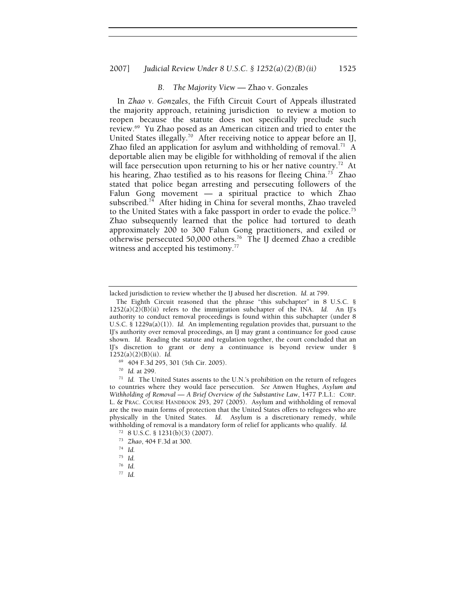## 2007] *Judicial Review Under 8 U.S.C. § 1252(a)(2)(B)(ii)* 1525

#### *B. The Majority View —* Zhao v. Gonzales

In *Zhao v. Gonzales*, the Fifth Circuit Court of Appeals illustrated the majority approach, retaining jurisdiction to review a motion to reopen because the statute does not specifically preclude such review.69 Yu Zhao posed as an American citizen and tried to enter the United States illegally.<sup>70</sup> After receiving notice to appear before an IJ, Zhao filed an application for asylum and withholding of removal.<sup>71</sup> A deportable alien may be eligible for withholding of removal if the alien will face persecution upon returning to his or her native country.<sup>72</sup> At his hearing, Zhao testified as to his reasons for fleeing China.<sup>73</sup> Zhao stated that police began arresting and persecuting followers of the Falun Gong movement — a spiritual practice to which Zhao subscribed.<sup>74</sup> After hiding in China for several months, Zhao traveled to the United States with a fake passport in order to evade the police.75 Zhao subsequently learned that the police had tortured to death approximately 200 to 300 Falun Gong practitioners, and exiled or otherwise persecuted 50,000 others.76 The IJ deemed Zhao a credible witness and accepted his testimony.<sup>77</sup>

lacked jurisdiction to review whether the IJ abused her discretion. *Id.* at 799.

The Eighth Circuit reasoned that the phrase "this subchapter" in 8 U.S.C. §  $1252(a)(2)(B)(ii)$  refers to the immigration subchapter of the INA. *Id.* An IJ's authority to conduct removal proceedings is found within this subchapter (under 8 U.S.C. § 1229a(a)(1)). *Id.* An implementing regulation provides that, pursuant to the IJ's authority over removal proceedings, an IJ may grant a continuance for good cause shown. *Id.* Reading the statute and regulation together, the court concluded that an IJ's discretion to grant or deny a continuance is beyond review under § 1252(a)(2)(B)(ii). *Id.*

 $^{69}$  404 F.3d 295, 301 (5th Cir. 2005).<br><sup>70</sup> Id. at 299.

<sup>&</sup>lt;sup>71</sup> Id. The United States assents to the U.N.'s prohibition on the return of refugees to countries where they would face persecution. *See* Anwen Hughes, *Asylum and Withholding of Removal — A Brief Overview of the Substantive Law*, 1477 P.L.I.: CORP. L. & PRAC. COURSE HANDBOOK 293, 297 (2005). Asylum and withholding of removal are the two main forms of protection that the United States offers to refugees who are physically in the United States. *Id.* Asylum is a discretionary remedy, while withholding of removal is a mandatory form of relief for applicants who qualify. *Id.*

<sup>72 8</sup> U.S.C. § 1231(b)(3) (2007).

<sup>73</sup> *Zhao*, 404 F.3d at 300. 74 *Id.*

<sup>75</sup> *Id.*

<sup>76</sup> *Id.*

<sup>77</sup> *Id.*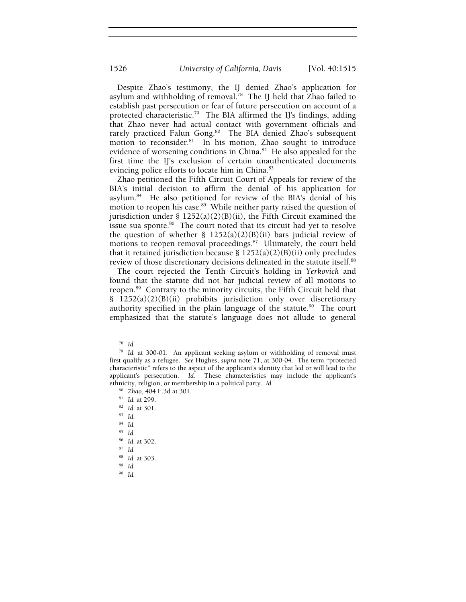Despite Zhao's testimony, the IJ denied Zhao's application for asylum and withholding of removal.<sup>78</sup> The IJ held that Zhao failed to establish past persecution or fear of future persecution on account of a protected characteristic.<sup>79</sup> The BIA affirmed the IJ's findings, adding that Zhao never had actual contact with government officials and rarely practiced Falun Gong.<sup>80</sup> The BIA denied Zhao's subsequent motion to reconsider.<sup>81</sup> In his motion, Zhao sought to introduce evidence of worsening conditions in China.<sup>82</sup> He also appealed for the first time the IJ's exclusion of certain unauthenticated documents evincing police efforts to locate him in China.<sup>83</sup>

Zhao petitioned the Fifth Circuit Court of Appeals for review of the BIA's initial decision to affirm the denial of his application for asylum.84 He also petitioned for review of the BIA's denial of his motion to reopen his case.<sup>85</sup> While neither party raised the question of jurisdiction under § 1252(a)(2)(B)(ii), the Fifth Circuit examined the issue sua sponte.<sup>86</sup> The court noted that its circuit had yet to resolve the question of whether §  $1252(a)(2)(B)(ii)$  bars judicial review of motions to reopen removal proceedings.<sup>87</sup> Ultimately, the court held that it retained jurisdiction because  $\S$  1252(a)(2)(B)(ii) only precludes review of those discretionary decisions delineated in the statute itself.<sup>88</sup>

The court rejected the Tenth Circuit's holding in *Yerkovich* and found that the statute did not bar judicial review of all motions to reopen.89 Contrary to the minority circuits, the Fifth Circuit held that § 1252(a)(2)(B)(ii) prohibits jurisdiction only over discretionary authority specified in the plain language of the statute.<sup>90</sup> The court emphasized that the statute's language does not allude to general

- <sup>86</sup> *Id.* at 302. 87 *Id.*
- 
- <sup>88</sup> *Id.* at 303. 89 *Id.*
- 
- 90 *Id.*

<sup>78</sup> *Id.*

<sup>79</sup> *Id.* at 300-01. An applicant seeking asylum or withholding of removal must first qualify as a refugee. *See* Hughes, *supra* note 71, at 300-04. The term "protected characteristic" refers to the aspect of the applicant's identity that led or will lead to the applicant's persecution. *Id.* These characteristics may include the applicant's ethnicity, religion, or membership in a political party. *Id.*

<sup>80</sup> *Zhao*, 404 F.3d at 301. 81 *Id.* at 299. 82 *Id.* at 301. 83 *Id.*

<sup>84</sup> *Id.*

<sup>85</sup> *Id.*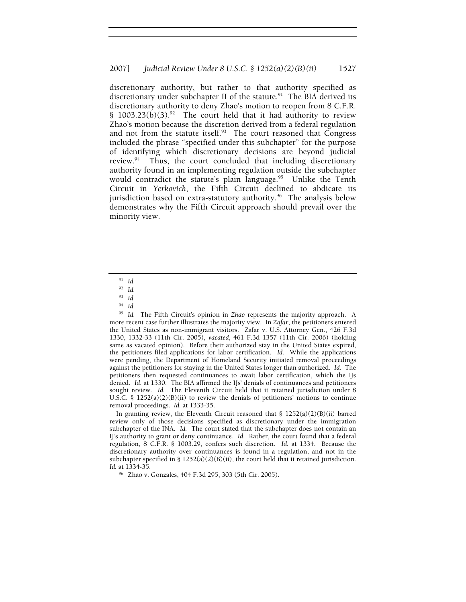discretionary authority, but rather to that authority specified as discretionary under subchapter II of the statute. $91$  The BIA derived its discretionary authority to deny Zhao's motion to reopen from 8 C.F.R. § 1003.23(b)(3).<sup>92</sup> The court held that it had authority to review Zhao's motion because the discretion derived from a federal regulation and not from the statute itself. $93$  The court reasoned that Congress included the phrase "specified under this subchapter" for the purpose of identifying which discretionary decisions are beyond judicial review.94 Thus, the court concluded that including discretionary authority found in an implementing regulation outside the subchapter would contradict the statute's plain language.<sup>95</sup> Unlike the Tenth Circuit in *Yerkovich*, the Fifth Circuit declined to abdicate its jurisdiction based on extra-statutory authority.<sup>96</sup> The analysis below demonstrates why the Fifth Circuit approach should prevail over the minority view.

In granting review, the Eleventh Circuit reasoned that § 1252(a)(2)(B)(ii) barred review only of those decisions specified as discretionary under the immigration subchapter of the INA. *Id.* The court stated that the subchapter does not contain an IJ's authority to grant or deny continuance. *Id.* Rather, the court found that a federal regulation, 8 C.F.R. § 1003.29, confers such discretion. *Id.* at 1334. Because the discretionary authority over continuances is found in a regulation, and not in the subchapter specified in §  $1252(a)(2)(B)(ii)$ , the court held that it retained jurisdiction. *Id.* at 1334-35.

<sup>96</sup> Zhao v. Gonzales, 404 F.3d 295, 303 (5th Cir. 2005).

<sup>91</sup> *Id.*

<sup>92</sup> *Id.*

<sup>93</sup> *Id.*

<sup>94</sup> *Id.*

<sup>95</sup> *Id.* The Fifth Circuit's opinion in *Zhao* represents the majority approach. A more recent case further illustrates the majority view. In *Zafar*, the petitioners entered the United States as non-immigrant visitors. Zafar v. U.S. Attorney Gen., 426 F.3d 1330, 1332-33 (11th Cir. 2005), *vacated*, 461 F.3d 1357 (11th Cir. 2006) (holding same as vacated opinion). Before their authorized stay in the United States expired, the petitioners filed applications for labor certification. *Id.* While the applications were pending, the Department of Homeland Security initiated removal proceedings against the petitioners for staying in the United States longer than authorized. *Id.* The petitioners then requested continuances to await labor certification, which the IJs denied. *Id.* at 1330. The BIA affirmed the IJs' denials of continuances and petitioners sought review. *Id.* The Eleventh Circuit held that it retained jurisdiction under 8 U.S.C. § 1252(a)(2)(B)(ii) to review the denials of petitioners' motions to continue removal proceedings. *Id.* at 1333-35.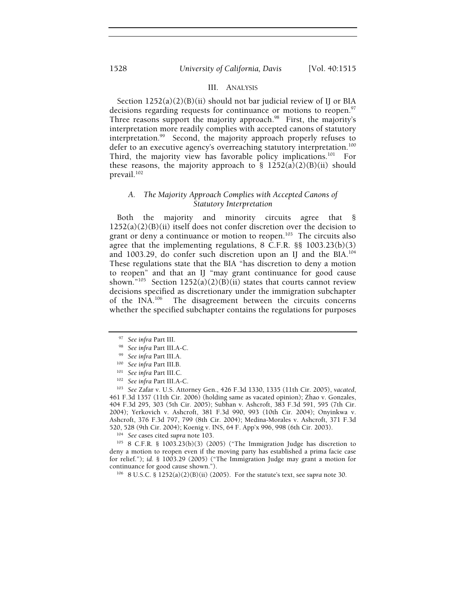## III. ANALYSIS

Section  $1252(a)(2)(B)(ii)$  should not bar judicial review of IJ or BIA decisions regarding requests for continuance or motions to reopen.<sup>97</sup> Three reasons support the majority approach.<sup>98</sup> First, the majority's interpretation more readily complies with accepted canons of statutory interpretation.99 Second, the majority approach properly refuses to defer to an executive agency's overreaching statutory interpretation.<sup>100</sup> Third, the majority view has favorable policy implications.<sup>101</sup> For these reasons, the majority approach to  $\S$  1252(a)(2)(B)(ii) should prevail.<sup>102</sup>

#### *A. The Majority Approach Complies with Accepted Canons of Statutory Interpretation*

Both the majority and minority circuits agree that §  $1252(a)(2)(B)(ii)$  itself does not confer discretion over the decision to grant or deny a continuance or motion to reopen.<sup>103</sup> The circuits also agree that the implementing regulations, 8 C.F.R. §§ 1003.23(b)(3) and 1003.29, do confer such discretion upon an IJ and the BIA.<sup>104</sup> These regulations state that the BIA "has discretion to deny a motion to reopen" and that an IJ "may grant continuance for good cause shown."<sup>105</sup> Section 1252(a)(2)(B)(ii) states that courts cannot review decisions specified as discretionary under the immigration subchapter<br>of the INA.<sup>106</sup> The disagreement between the circuits concerns The disagreement between the circuits concerns whether the specified subchapter contains the regulations for purposes

<sup>&</sup>lt;sup>97</sup> See infra Part III.<br><sup>98</sup> See infra Part III.A-C.<br><sup>99</sup> See infra Part III.A.<br><sup>100</sup> See infra Part III.B.<br><sup>101</sup> See infra Part III.A-C.<br><sup>102</sup> See infra Part III.A-C.<br><sup>102</sup> See Zafar v. U.S. Attorney Gen., 426 F.3d 1330 461 F.3d 1357 (11th Cir. 2006) (holding same as vacated opinion); Zhao v. Gonzales, 404 F.3d 295, 303 (5th Cir. 2005); Subhan v. Ashcroft, 383 F.3d 591, 595 (7th Cir. 2004); Yerkovich v. Ashcroft, 381 F.3d 990, 993 (10th Cir. 2004); Onyinkwa v. Ashcroft, 376 F.3d 797, 799 (8th Cir. 2004); Medina-Morales v. Ashcroft, 371 F.3d

<sup>&</sup>lt;sup>104</sup> See cases cited supra note 103.<br><sup>105</sup> 8 C.F.R. § 1003.23(b)(3) (2005) ("The Immigration Judge has discretion to deny a motion to reopen even if the moving party has established a prima facie case for relief."); *id.* § 1003.29 (2005) ("The Immigration Judge may grant a motion for continuance for good cause shown."). 106 8 U.S.C. § 1252(a)(2)(B)(ii) (2005). For the statute's text, see *supra* note 30.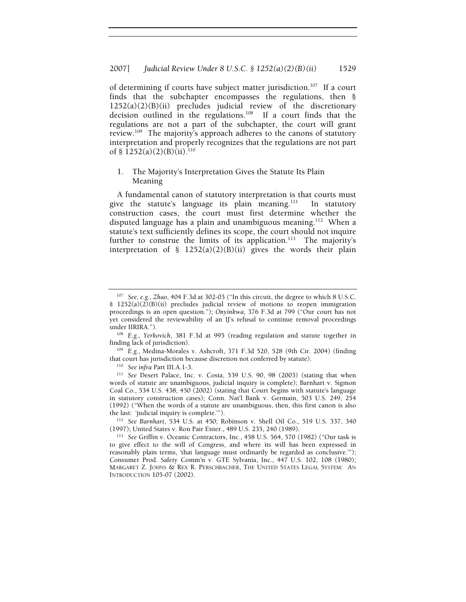of determining if courts have subject matter jurisdiction.<sup>107</sup> If a court finds that the subchapter encompasses the regulations, then § 1252(a)(2)(B)(ii) precludes judicial review of the discretionary decision outlined in the regulations.108 If a court finds that the regulations are not a part of the subchapter, the court will grant review.109 The majority's approach adheres to the canons of statutory interpretation and properly recognizes that the regulations are not part of § 1252(a)(2)(B)(ii).<sup>110</sup>

## 1. The Majority's Interpretation Gives the Statute Its Plain Meaning

A fundamental canon of statutory interpretation is that courts must give the statute's language its plain meaning. $111$  In statutory construction cases, the court must first determine whether the disputed language has a plain and unambiguous meaning.<sup>112</sup> When a statute's text sufficiently defines its scope, the court should not inquire further to construe the limits of its application.<sup>113</sup> The majority's interpretation of §  $1252(a)(2)(B)(ii)$  gives the words their plain

<sup>112</sup> See Barnhart, 534 U.S. at 450; Robinson v. Shell Oil Co., 519 U.S. 337, 340 (1997); United States v. Ron Pair Enter., 489 U.S. 235, 240 (1989).

<sup>107</sup> *See, e.g.*, *Zhao*, 404 F.3d at 302-03 ("In this circuit, the degree to which 8 U.S.C. § 1252(a)(2)(B)(ii) precludes judicial review of motions to reopen immigration proceedings is an open question."); *Onyinkwa*, 376 F.3d at 799 ("Our court has not yet considered the reviewability of an IJ's refusal to continue removal proceedings

under IIRIRA.").<br><sup>108</sup> E.g., *Yerkovich*, 381 F.3d at 995 (reading regulation and statute together in finding lack of jurisdiction).

<sup>&</sup>lt;sup>109</sup> E.g., Medina-Morales v. Ashcroft, 371 F.3d 520, 528 (9th Cir. 2004) (finding that court has jurisdiction because discretion not conferred by statute).

<sup>&</sup>lt;sup>110</sup> See infra Part III.A.1-3.<br><sup>111</sup> See Desert Palace, Inc. v. Costa, 539 U.S. 90, 98 (2003) (stating that when words of statute are unambiguous, judicial inquiry is complete); Barnhart v. Sigmon Coal Co., 534 U.S. 438, 450 (2002) (stating that Court begins with statute's language in statutory construction cases); Conn. Nat'l Bank v. Germain, 503 U.S. 249, 254 (1992) ("When the words of a statute are unambiguous, then, this first canon is also

<sup>&</sup>lt;sup>113</sup> See Griffin v. Oceanic Contractors, Inc., 458 U.S. 564, 570 (1982) ("Our task is to give effect to the will of Congress, and where its will has been expressed in reasonably plain terms, 'that language must ordinarily be regarded as conclusive.'"); Consumer Prod. Safety Comm'n v. GTE Sylvania, Inc., 447 U.S. 102, 108 (1980); MARGARET Z. JOHNS & REX R. PERSCHBACHER, THE UNITED STATES LEGAL SYSTEM: AN INTRODUCTION 105-07 (2002).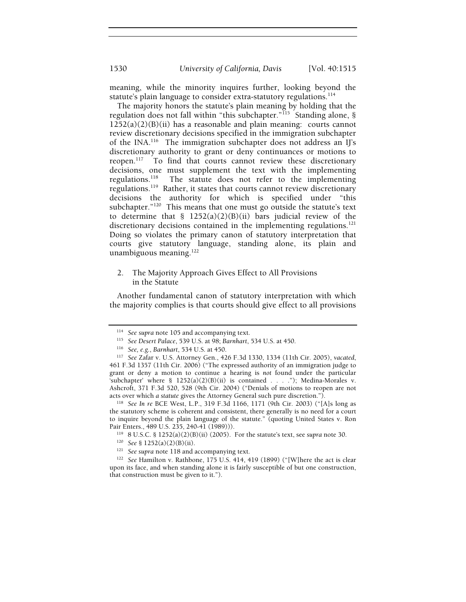meaning, while the minority inquires further, looking beyond the statute's plain language to consider extra-statutory regulations.<sup>114</sup>

The majority honors the statute's plain meaning by holding that the regulation does not fall within "this subchapter."<sup>115</sup> Standing alone, §  $1252(a)(2)(B)(ii)$  has a reasonable and plain meaning: courts cannot review discretionary decisions specified in the immigration subchapter of the INA.116 The immigration subchapter does not address an IJ's discretionary authority to grant or deny continuances or motions to reopen.<sup>117</sup> To find that courts cannot review these discretionary decisions, one must supplement the text with the implementing regulations.118 The statute does not refer to the implementing regulations.119 Rather, it states that courts cannot review discretionary decisions the authority for which is specified under "this subchapter."120 This means that one must go outside the statute's text to determine that §  $1252(a)(2)(B)(ii)$  bars judicial review of the discretionary decisions contained in the implementing regulations.<sup>121</sup> Doing so violates the primary canon of statutory interpretation that courts give statutory language, standing alone, its plain and unambiguous meaning.<sup>122</sup>

## 2. The Majority Approach Gives Effect to All Provisions in the Statute

Another fundamental canon of statutory interpretation with which the majority complies is that courts should give effect to all provisions

the statutory scheme is coherent and consistent, there generally is no need for a court to inquire beyond the plain language of the statute." (quoting United States v. Ron Pair Enters., 489 U.S. 235, 240-41 (1989))).<br><sup>119</sup> 8 U.S.C. § 1252(a)(2)(B)(ii) (2005). For the statute's text, see supra note 30.<br><sup>120</sup> *See* § 1252(a)(2)(B)(ii).<br><sup>121</sup> *See supra* note 118 and accompanying text.<br><sup>121</sup>

<sup>&</sup>lt;sup>114</sup> See supra note 105 and accompanying text.<br>
<sup>115</sup> See Desert Palace, 539 U.S. at 98; Barnhart, 534 U.S. at 450.<br>
<sup>116</sup> See, e.g., Barnhart, 534 U.S. at 450.<br>
<sup>117</sup> See Zafar v. U.S. Attorney Gen., 426 F.3d 1330, 1334 461 F.3d 1357 (11th Cir. 2006) ("The expressed authority of an immigration judge to grant or deny a motion to continue a hearing is *not* found under the particular 'subchapter' where  $\S$  1252(a)(2)(B)(ii) is contained . . . ."); Medina-Morales v. Ashcroft, 371 F.3d 520, 528 (9th Cir. 2004) ("Denials of motions to reopen are not acts over which *a statute* gives the Attorney General such pure discretion."). 118 *See In re* BCE West, L.P., 319 F.3d 1166, 1171 (9th Cir. 2003) ("[A]s long as

upon its face, and when standing alone it is fairly susceptible of but one construction, that construction must be given to it.").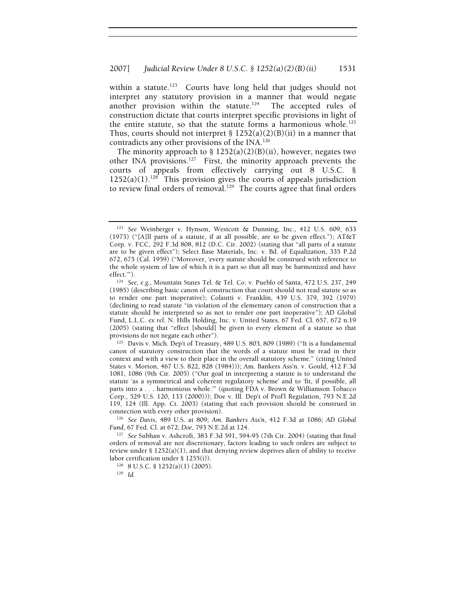within a statute.<sup>123</sup> Courts have long held that judges should not interpret any statutory provision in a manner that would negate another provision within the statute.<sup>124</sup> The accepted rules of construction dictate that courts interpret specific provisions in light of the entire statute, so that the statute forms a harmonious whole.<sup>125</sup> Thus, courts should not interpret  $\S$  1252(a)(2)(B)(ii) in a manner that contradicts any other provisions of the INA.126

The minority approach to  $\S 1252(a)(2)(B)(ii)$ , however, negates two other INA provisions.<sup>127</sup> First, the minority approach prevents the courts of appeals from effectively carrying out 8 U.S.C. §  $1252(a)(1).$ <sup>128</sup> This provision gives the courts of appeals jurisdiction to review final orders of removal.<sup>129</sup> The courts agree that final orders

125 Davis v. Mich. Dep't of Treasury, 489 U.S. 803, 809 (1989) ("It is a fundamental canon of statutory construction that the words of a statute must be read in their context and with a view to their place in the overall statutory scheme." (citing United States v. Morton, 467 U.S. 822, 828 (1984))); Am. Bankers Ass'n. v. Gould, 412 F.3d 1081, 1086 (9th Cir. 2005) ("Our goal in interpreting a statute is to understand the statute 'as a symmetrical and coherent regulatory scheme' and to 'fit, if possible, all parts into a . . . harmonious whole.'" (quoting FDA v. Brown & Williamson Tobacco Corp., 529 U.S. 120, 133 (2000))); Doe v. Ill. Dep't of Prof'l Regulation, 793 N.E.2d 119, 124 (Ill. App. Ct. 2003) (stating that each provision should be construed in

connection with every other provision).<br><sup>126</sup> See *Davis*, 489 U.S. at 809; *Am. Bankers Ass'n*, 412 F.3d at 1086; *AD Global Fund*, 67 Fed. Cl. at 672; *Doe*, 793 N.E.2d at 124.

<sup>127</sup> See Subhan v. Ashcroft, 383 F.3d 591, 594-95 (7th Cir. 2004) (stating that final orders of removal are not discretionary, factors leading to such orders are subject to review under  $\S 1252(a)(1)$ , and that denying review deprives alien of ability to receive

labor certification under § 1255(i)). 128 8 U.S.C. § 1252(a)(1) (2005). 129 *Id.*

<sup>123</sup> *See* Weinberger v. Hynson, Westcott & Dunning, Inc., 412 U.S. 609, 633 (1973) ("[A]ll parts of a statute, if at all possible, are to be given effect."); AT&T Corp. v. FCC, 292 F.3d 808, 812 (D.C. Cir. 2002) (stating that "all parts of a statute are to be given effect"); Select Base Materials, Inc. v. Bd. of Equalization, 335 P.2d 672, 675 (Cal. 1959) ("Moreover, 'every statute should be construed with reference to the whole system of law of which it is a part so that all may be harmonized and have effect."').

<sup>&</sup>lt;sup>124</sup> See, e.g., Mountain States Tel. & Tel. Co. v. Pueblo of Santa, 472 U.S. 237, 249 (1985) (describing basic canon of construction that court should not read statute so as to render one part inoperative); Colautti v. Franklin, 439 U.S. 379, 392 (1979) (declining to read statute "in violation of the elementary canon of construction that a statute should be interpreted so as not to render one part inoperative"); AD Global Fund, L.L.C. *ex rel*. N. Hills Holding, Inc. v. United States, 67 Fed. Cl. 657, 672 n.19 (2005) (stating that "effect [should] be given to every element of a statute so that provisions do not negate each other").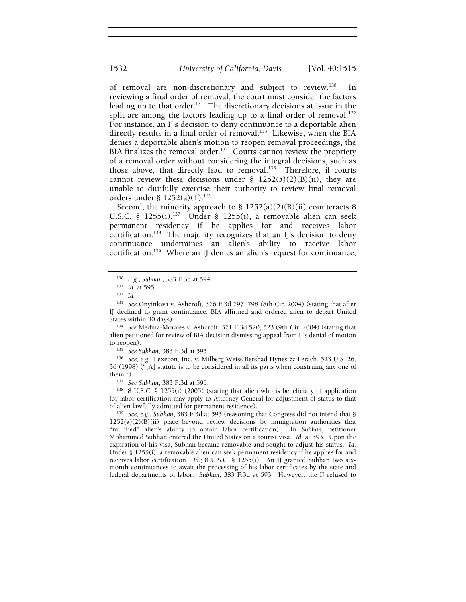of removal are non-discretionary and subject to review.<sup>130</sup> In reviewing a final order of removal, the court must consider the factors leading up to that order.<sup>131</sup> The discretionary decisions at issue in the split are among the factors leading up to a final order of removal.<sup>132</sup> For instance, an IJ's decision to deny continuance to a deportable alien directly results in a final order of removal.<sup>133</sup> Likewise, when the BIA denies a deportable alien's motion to reopen removal proceedings, the BIA finalizes the removal order.<sup>134</sup> Courts cannot review the propriety of a removal order without considering the integral decisions, such as those above, that directly lead to removal.135 Therefore, if courts cannot review these decisions under  $\S$  1252(a)(2)(B)(ii), they are unable to dutifully exercise their authority to review final removal orders under §  $1252(a)(1).^{136}$ 

Second, the minority approach to  $\S$  1252(a)(2)(B)(ii) counteracts 8 U.S.C. § 1255(i).<sup>137</sup> Under § 1255(i), a removable alien can seek permanent residency if he applies for and receives labor certification.<sup>138</sup> The majority recognizes that an IJ's decision to deny continuance undermines an alien's ability to receive labor certification.139 Where an IJ denies an alien's request for continuance,

<sup>133</sup> *See* Onyinkwa v. Ashcroft, 376 F.3d 797, 798 (8th Cir. 2004) (stating that after IJ declined to grant continuance, BIA affirmed and ordered alien to depart United

<sup>134</sup> See Medina-Morales v. Ashcroft, 371 F.3d 520, 523 (9th Cir. 2004) (stating that alien petitioned for review of BIA decision dismissing appeal from IJ's denial of motion

to reopen).<br><sup>135</sup> *See Subhan*, 383 F.3d at 595.<br><sup>136</sup> *See, e.g.*, Lexecon, Inc. v. Milberg Weiss Bershad Hynes & Lerach, 523 U.S. 26, 36 (1998) ("[A] statute is to be considered in all its parts when construing any one of them.").<br><sup>137</sup> See Subhan, 383 F.3d at 595.<br><sup>138</sup> 8 U.S.C. § 1255(i) (2005) (stating that alien who is beneficiary of application

for labor certification may apply to Attorney General for adjustment of status to that of alien lawfully admitted for permanent residence). 139 *See, e.g.*, *Subhan*, 383 F.3d at 595 (reasoning that Congress did not intend that §

 $1252(a)(2)(B)(ii)$  place beyond review decisions by immigration authorities that "nullified" alien's ability to obtain labor certification). In *Subhan*, petitioner Mohammed Subhan entered the United States on a tourist visa. *Id.* at 593. Upon the expiration of his visa, Subhan became removable and sought to adjust his status. *Id.* Under § 1255(i), a removable alien can seek permanent residency if he applies for and receives labor certification.*Id.*; 8 U.S.C. § 1255(i). An IJ granted Subhan two sixmonth continuances to await the processing of his labor certificates by the state and federal departments of labor. *Subhan*, 383 F.3d at 593. However, the IJ refused to

<sup>130</sup> *E.g.*, *Subhan*, 383 F.3d at 594. 131 *Id.* at 595. 132 *Id.*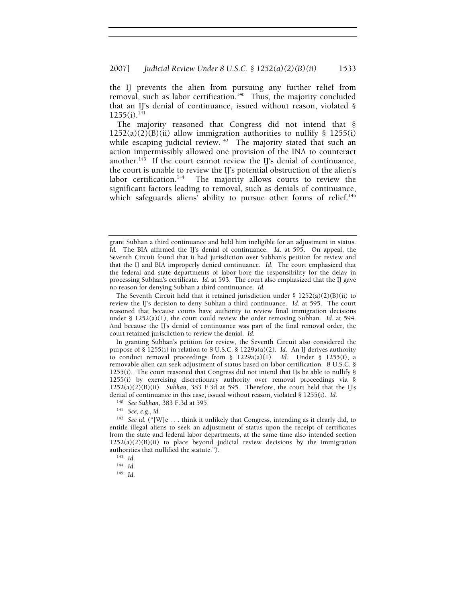the IJ prevents the alien from pursuing any further relief from removal, such as labor certification.<sup>140</sup> Thus, the majority concluded that an II's denial of continuance, issued without reason, violated §  $1255(i).^{141}$ 

The majority reasoned that Congress did not intend that §  $1252(a)(2)(B)(ii)$  allow immigration authorities to nullify § 1255(i) while escaping judicial review.<sup>142</sup> The majority stated that such an action impermissibly allowed one provision of the INA to counteract another.<sup>143</sup> If the court cannot review the II's denial of continuance, the court is unable to review the IJ's potential obstruction of the alien's labor certification.<sup>144</sup> The majority allows courts to review the significant factors leading to removal, such as denials of continuance, which safeguards aliens' ability to pursue other forms of relief.<sup>145</sup>

grant Subhan a third continuance and held him ineligible for an adjustment in status. *Id.* The BIA affirmed the IJ's denial of continuance. *Id*. at 595. On appeal, the Seventh Circuit found that it had jurisdiction over Subhan's petition for review and that the IJ and BIA improperly denied continuance. *Id.* The court emphasized that the federal and state departments of labor bore the responsibility for the delay in processing Subhan's certificate. *Id.* at 593. The court also emphasized that the IJ gave no reason for denying Subhan a third continuance. *Id.*

The Seventh Circuit held that it retained jurisdiction under § 1252(a)(2)(B)(ii) to review the IJ's decision to deny Subhan a third continuance. *Id.* at 595. The court reasoned that because courts have authority to review final immigration decisions under  $\S$  1252(a)(1), the court could review the order removing Subhan. *Id.* at 594. And because the IJ's denial of continuance was part of the final removal order, the court retained jurisdiction to review the denial. *Id.*

In granting Subhan's petition for review, the Seventh Circuit also considered the purpose of § 1255(i) in relation to 8 U.S.C. § 1229a(a)(2). *Id.* An IJ derives authority to conduct removal proceedings from  $\S$  1229a(a)(1). *Id.* Under  $\S$  1255(i), a removable alien can seek adjustment of status based on labor certification. 8 U.S.C. § 1255(i). The court reasoned that Congress did not intend that IJs be able to nullify § 1255(i) by exercising discretionary authority over removal proceedings via §  $1252(a)(2)(B)(ii)$ . *Subhan*, 383 F.3d at 595. Therefore, the court held that the IJ's denial of continuance in this case, issued without reason, violated § 1255(i). *Id.*

<sup>140</sup> *See Subhan*, 383 F.3d at 595. 141 *See, e.g.*, *id.*

<sup>142</sup> *See id.* ("[W]e . . . think it unlikely that Congress, intending as it clearly did, to entitle illegal aliens to seek an adjustment of status upon the receipt of certificates from the state and federal labor departments, at the same time also intended section  $1252(a)(2)(B)(ii)$  to place beyond judicial review decisions by the immigration authorities that nullified the statute."). 143 *Id*. 144 *Id*. 145 *Id*.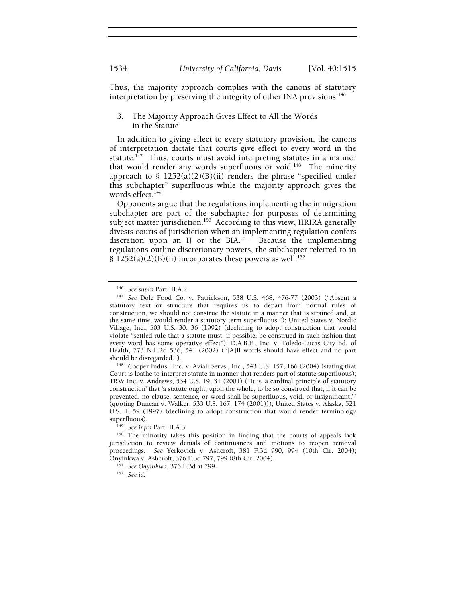Thus, the majority approach complies with the canons of statutory interpretation by preserving the integrity of other INA provisions.<sup>146</sup>

## 3. The Majority Approach Gives Effect to All the Words in the Statute

In addition to giving effect to every statutory provision, the canons of interpretation dictate that courts give effect to every word in the statute.<sup>147</sup> Thus, courts must avoid interpreting statutes in a manner that would render any words superfluous or void.<sup>148</sup> The minority approach to §  $1252(a)(2)(B)(ii)$  renders the phrase "specified under this subchapter" superfluous while the majority approach gives the words effect. $149$ 

Opponents argue that the regulations implementing the immigration subchapter are part of the subchapter for purposes of determining subject matter jurisdiction.<sup>150</sup> According to this view, IIRIRA generally divests courts of jurisdiction when an implementing regulation confers discretion upon an IJ or the  $BIA$ .<sup>151</sup> Because the implementing regulations outline discretionary powers, the subchapter referred to in § 1252(a)(2)(B)(ii) incorporates these powers as well.<sup>152</sup>

<sup>146</sup> *See supra* Part III.A.2. 147 *See* Dole Food Co. v. Patrickson, 538 U.S. 468, 476-77 (2003) ("Absent a statutory text or structure that requires us to depart from normal rules of construction, we should not construe the statute in a manner that is strained and, at the same time, would render a statutory term superfluous."); United States v. Nordic Village, Inc., 503 U.S. 30, 36 (1992) (declining to adopt construction that would violate "settled rule that a statute must, if possible, be construed in such fashion that every word has some operative effect"); D.A.B.E., Inc. v. Toledo-Lucas City Bd. of Health, 773 N.E.2d 536, 541 (2002) ("[A]ll words should have effect and no part should be disregarded.").<br><sup>148</sup> Cooper Indus., Inc. v. Aviall Servs., Inc., 543 U.S. 157, 166 (2004) (stating that

Court is loathe to interpret statute in manner that renders part of statute superfluous); TRW Inc. v. Andrews, 534 U.S. 19, 31 (2001) ("It is 'a cardinal principle of statutory construction' that 'a statute ought, upon the whole, to be so construed that, if it can be prevented, no clause, sentence, or word shall be superfluous, void, or insignificant.'" (quoting Duncan v. Walker, 533 U.S. 167, 174 (2001))); United States v. Alaska, 521 U.S. 1, 59 (1997) (declining to adopt construction that would render terminology superfluous).<br><sup>149</sup> *See infra* Part III.A.3.<br><sup>150</sup> The minority takes this position in finding that the courts of appeals lack

jurisdiction to review denials of continuances and motions to reopen removal proceedings. *See* Yerkovich v. Ashcroft, 381 F.3d 990, 994 (10th Cir. 2004); Onyinkwa v. Ashcroft, 376 F.3d 797, 799 (8th Cir. 2004). 151 *See Onyinkwa*, 376 F.3d at 799. 152 *See id*.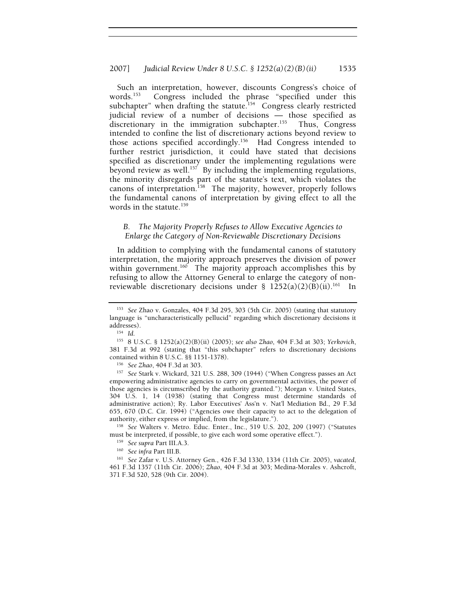Such an interpretation, however, discounts Congress's choice of words.<sup>153</sup> Congress included the phrase "specified under this subchapter" when drafting the statute.<sup>154</sup> Congress clearly restricted judicial review of a number of decisions — those specified as discretionary in the immigration subchapter.<sup>155</sup> Thus, Congress intended to confine the list of discretionary actions beyond review to those actions specified accordingly.156 Had Congress intended to further restrict jurisdiction, it could have stated that decisions specified as discretionary under the implementing regulations were beyond review as well.<sup>157</sup> By including the implementing regulations, the minority disregards part of the statute's text, which violates the canons of interpretation.<sup>158</sup> The majority, however, properly follows the fundamental canons of interpretation by giving effect to all the words in the statute.<sup>159</sup>

## *B. The Majority Properly Refuses to Allow Executive Agencies to Enlarge the Category of Non-Reviewable Discretionary Decisions*

In addition to complying with the fundamental canons of statutory interpretation, the majority approach preserves the division of power within government.<sup>160</sup> The majority approach accomplishes this by refusing to allow the Attorney General to enlarge the category of nonreviewable discretionary decisions under §  $1252(a)(2)(B)(ii)$ .<sup>161</sup> In

<sup>156</sup> See Zhao, 404 F.3d at 303.<br><sup>157</sup> See Stark v. Wickard, 321 U.S. 288, 309 (1944) ("When Congress passes an Act empowering administrative agencies to carry on governmental activities, the power of those agencies is circumscribed by the authority granted."); Morgan v. United States, 304 U.S. 1, 14 (1938) (stating that Congress must determine standards of administrative action); Ry. Labor Executives' Ass'n v. Nat'l Mediation Bd., 29 F.3d 655, 670 (D.C. Cir. 1994) ("Agencies owe their capacity to act to the delegation of

authority, either express or implied, from the legislature.").<br><sup>158</sup> *See* Walters v. Metro. Educ. Enter., Inc., 519 U.S. 202, 209 (1997) ("Statutes must be interpreted, if possible, to give each word some operative effect

<sup>153</sup> *See* Zhao v. Gonzales, 404 F.3d 295, 303 (5th Cir. 2005) (stating that statutory language is "uncharacteristically pellucid" regarding which discretionary decisions it

<sup>&</sup>lt;sup>154</sup> Id.<br><sup>155</sup> 8 U.S.C. § 1252(a)(2)(B)(ii) (2005); *see also Zhao*, 404 F.3d at 303; *Yerkovich*, 381 F.3d at 992 (stating that "this subchapter" refers to discretionary decisions

<sup>&</sup>lt;sup>159</sup> See supra Part III.A.3.<br><sup>160</sup> See infra Part III.B.<br><sup>161</sup> See Zafar v. U.S. Attorney Gen., 426 F.3d 1330, 1334 (11th Cir. 2005), vacated, 461 F.3d 1357 (11th Cir. 2006); *Zhao*, 404 F.3d at 303; Medina-Morales v. Ashcroft, 371 F.3d 520, 528 (9th Cir. 2004).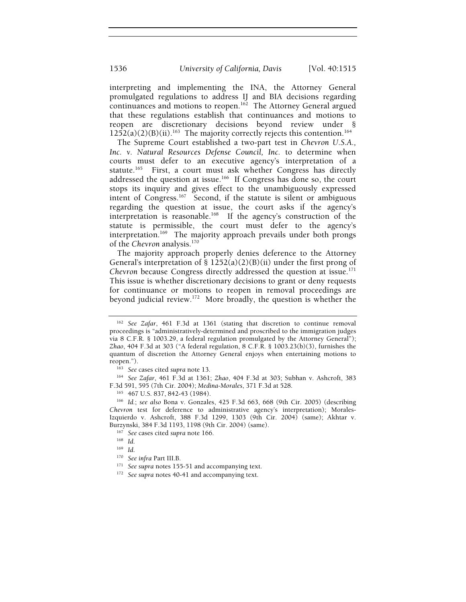1536 *University of California, Davis* [Vol. 40:1515

interpreting and implementing the INA, the Attorney General promulgated regulations to address IJ and BIA decisions regarding continuances and motions to reopen.<sup>162</sup> The Attorney General argued that these regulations establish that continuances and motions to reopen are discretionary decisions beyond review under §  $1252(a)(2)(B)(ii).$ <sup>163</sup> The majority correctly rejects this contention.<sup>164</sup>

The Supreme Court established a two-part test in *Chevron U.S.A., Inc. v. Natural Resources Defense Council, Inc.* to determine when courts must defer to an executive agency's interpretation of a statute.<sup>165</sup> First, a court must ask whether Congress has directly addressed the question at issue.166 If Congress has done so, the court stops its inquiry and gives effect to the unambiguously expressed intent of Congress.167 Second, if the statute is silent or ambiguous regarding the question at issue, the court asks if the agency's interpretation is reasonable.<sup>168</sup> If the agency's construction of the statute is permissible, the court must defer to the agency's interpretation.<sup>169</sup> The majority approach prevails under both prongs of the *Chevron* analysis.170

The majority approach properly denies deference to the Attorney General's interpretation of  $\S$  1252(a)(2)(B)(ii) under the first prong of *Chevron* because Congress directly addressed the question at issue.<sup>171</sup> This issue is whether discretionary decisions to grant or deny requests for continuance or motions to reopen in removal proceedings are beyond judicial review.172 More broadly, the question is whether the

reopen.").<br><sup>163</sup> See cases cited *supra* note 13.<br><sup>164</sup> See *Zafar*, 461 F.3d at 1361; *Zhao*, 404 F.3d at 303; Subhan v. Ashcroft, 383<br>F.3d 591, 595 (7th Cir. 2004); *Medina-Morales*, 371 F.3d at 528.

F.3d 591, 595 (7th Cir. 2004); *Medina-Morales*, 371 F.3d at 528. 165 467 U.S. 837, 842-43 (1984). 166 *Id.*; *see also* Bona v. Gonzales, 425 F.3d 663, 668 (9th Cir. 2005) (describing *Chevron* test for deference to administrative agency's interpretation); Morales-Izquierdo v. Ashcroft, 388 F.3d 1299, 1303 (9th Cir. 2004) (same); Akhtar v.

<sup>167</sup> See cases cited supra note 166.<br><sup>168</sup> Id.<br><sup>170</sup> See infra Part III.B.<br><sup>170</sup> See supra notes 155-51 and accompanying text.<br><sup>172</sup> See supra notes 40-41 and accompanying text.

<sup>162</sup> *See Zafar*, 461 F.3d at 1361 (stating that discretion to continue removal proceedings is "administratively-determined and proscribed to the immigration judges via 8 C.F.R. § 1003.29, a federal regulation promulgated by the Attorney General"); *Zhao*, 404 F.3d at 303 ("A federal regulation, 8 C.F.R. § 1003.23(b)(3), furnishes the quantum of discretion the Attorney General enjoys when entertaining motions to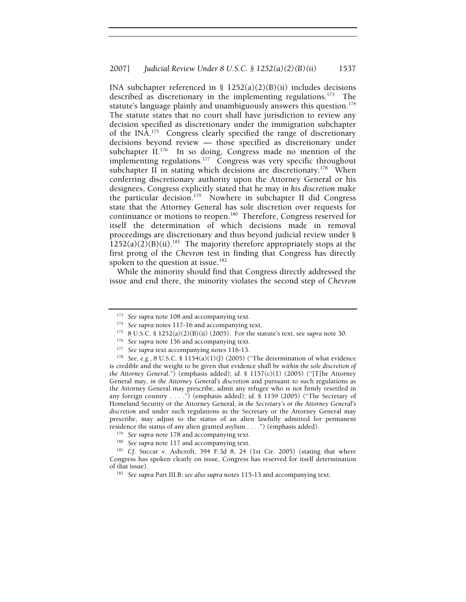INA subchapter referenced in §  $1252(a)(2)(B)(ii)$  includes decisions described as discretionary in the implementing regulations.<sup>173</sup> The statute's language plainly and unambiguously answers this question.<sup>174</sup> The statute states that no court shall have jurisdiction to review any decision specified as discretionary under the immigration subchapter of the INA.175 Congress clearly specified the range of discretionary decisions beyond review — those specified as discretionary under subchapter II.<sup>176</sup> In so doing, Congress made no mention of the implementing regulations.<sup>177</sup> Congress was very specific throughout subchapter II in stating which decisions are discretionary.<sup>178</sup> When conferring discretionary authority upon the Attorney General or his designees, Congress explicitly stated that he may *in his discretion* make the particular decision.179 Nowhere in subchapter II did Congress state that the Attorney General has sole discretion over requests for continuance or motions to reopen.<sup>180</sup> Therefore, Congress reserved for itself the determination of which decisions made in removal proceedings are discretionary and thus beyond judicial review under §  $1252(a)(2)(B)(ii)$ <sup>181</sup> The majority therefore appropriately stops at the first prong of the *Chevron* test in finding that Congress has directly spoken to the question at issue**.** 182

While the minority should find that Congress directly addressed the issue and end there, the minority violates the second step of *Chevron*

<sup>&</sup>lt;sup>173</sup> See supra note 108 and accompanying text.<br>
<sup>174</sup> See supra notes 117-16 and accompanying text.<br>
<sup>175</sup> 8 U.S.C. § 1252(a)(2)(B)(ii) (2005). For the statute's text, see supra note 30.<br>
<sup>176</sup> See supra note 156 and acc

is credible and the weight to be given that evidence shall be *within the sole discretion of the Attorney General*.") (emphasis added); *id.* § 1157(c)(1) (2005) ("[T]he Attorney General may, *in the Attorney General's discretion* and pursuant to such regulations as the Attorney General may prescribe, admit any refugee who is not firmly resettled in any foreign country . . . .") (emphasis added); *id.* § 1159 (2005) ("The Secretary of Homeland Security or the Attorney General, *in the Secretary's or the Attorney General's discretion* and under such regulations as the Secretary or the Attorney General may prescribe, may adjust to the status of an alien lawfully admitted for permanent residence the status of any alien granted asylum . . . .") (emphasis added).<br><sup>179</sup> See supra note 178 and accompanying text.<br><sup>180</sup> See supra note 117 and accompanying text.<br><sup>180</sup> See supra note 117 and accompanying text.<br>

Congress has spoken clearly on issue, Congress has reserved for itself determination of that issue). 182 *See supra* Part III.B; *see also supra* notes 115-13 and accompanying text.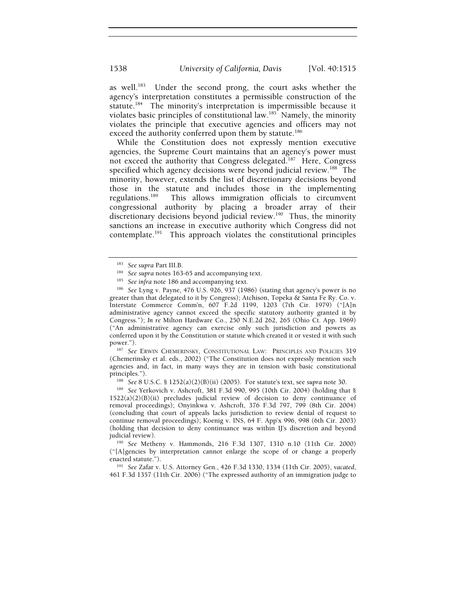as well.<sup>183</sup> Under the second prong, the court asks whether the agency's interpretation constitutes a permissible construction of the statute.184 The minority's interpretation is impermissible because it violates basic principles of constitutional law.<sup>185</sup> Namely, the minority violates the principle that executive agencies and officers may not exceed the authority conferred upon them by statute.<sup>186</sup>

While the Constitution does not expressly mention executive agencies, the Supreme Court maintains that an agency's power must not exceed the authority that Congress delegated.<sup>187</sup> Here, Congress specified which agency decisions were beyond judicial review.<sup>188</sup> The minority, however, extends the list of discretionary decisions beyond those in the statute and includes those in the implementing<br>regulations.<sup>189</sup> This allows immigration officials to circumvent This allows immigration officials to circumvent congressional authority by placing a broader array of their discretionary decisions beyond judicial review.<sup>190</sup> Thus, the minority sanctions an increase in executive authority which Congress did not contemplate.<sup>191</sup> This approach violates the constitutional principles

<sup>187</sup> See ERWIN CHEMERINSKY, CONSTITUTIONAL LAW: PRINCIPLES AND POLICIES 319 (Chemerinsky et al. eds., 2002) ("The Constitution does not expressly mention such agencies and, in fact, in many ways they are in tension with basic constitutional

principles.").<br><sup>188</sup> *See* 8 U.S.C. § 1252(a)(2)(B)(ii) (2005). For statute's text, see *supra* note 30.<br><sup>189</sup> *See* Yerkovich v. Ashcroft, 381 F.3d 990, 995 (10th Cir. 2004) (holding that § 1522(a)(2)(B)(ii) precludes judicial review of decision to deny continuance of removal proceedings); Onyinkwa v. Ashcroft, 376 F.3d 797, 799 (8th Cir. 2004) (concluding that court of appeals lacks jurisdiction to review denial of request to continue removal proceedings); Koenig v. INS, 64 F. App'x 996, 998 (6th Cir. 2003) (holding that decision to deny continuance was within IJ's discretion and beyond judicial review). 190 *See* Metheny v. Hammonds**,** 216 F.3d 1307, 1310 n.10 (11th Cir. 2000)

("[A]gencies by interpretation cannot enlarge the scope of or change a properly enacted statute."). 191 *See* Zafar v. U.S. Attorney Gen., 426 F.3d 1330, 1334 (11th Cir. 2005), *vacated*,

461 F.3d 1357 (11th Cir. 2006) ("The expressed authority of an immigration judge to

<sup>&</sup>lt;sup>183</sup> See supra Part III.B.<br><sup>184</sup> See supra notes 163-65 and accompanying text.<br><sup>185</sup> See infra note 186 and accompanying text.<br><sup>185</sup> See Lyng v. Payne, 476 U.S. 926, 937 (1986) (stating that agency's power is no greater than that delegated to it by Congress); Atchison, Topeka & Santa Fe Ry. Co. v. Interstate Commerce Comm'n, 607 F.2d 1199, 1203 (7th Cir. 1979) ("[A]n administrative agency cannot exceed the specific statutory authority granted it by Congress."); *In re* Milton Hardware Co., 250 N.E.2d 262, 265 (Ohio Ct. App. 1969) ("An administrative agency can exercise only such jurisdiction and powers as conferred upon it by the Constitution or statute which created it or vested it with such power.").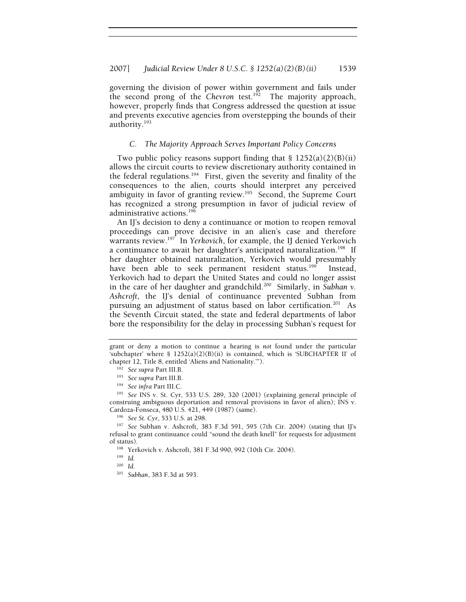governing the division of power within government and fails under the second prong of the *Chevron* test.<sup>192</sup> The majority approach, however, properly finds that Congress addressed the question at issue and prevents executive agencies from overstepping the bounds of their authority.193

#### *C. The Majority Approach Serves Important Policy Concerns*

Two public policy reasons support finding that  $\S$  1252(a)(2)(B)(ii) allows the circuit courts to review discretionary authority contained in the federal regulations.<sup>194</sup> First, given the severity and finality of the consequences to the alien, courts should interpret any perceived ambiguity in favor of granting review.<sup>195</sup> Second, the Supreme Court has recognized a strong presumption in favor of judicial review of administrative actions.196

An IJ's decision to deny a continuance or motion to reopen removal proceedings can prove decisive in an alien's case and therefore warrants review.197 In *Yerkovich*, for example, the IJ denied Yerkovich a continuance to await her daughter's anticipated naturalization.<sup>198</sup> If her daughter obtained naturalization, Yerkovich would presumably have been able to seek permanent resident status.<sup>199</sup> Instead, Yerkovich had to depart the United States and could no longer assist in the care of her daughter and grandchild.200 Similarly, in *Subhan v. Ashcroft*, the IJ's denial of continuance prevented Subhan from pursuing an adjustment of status based on labor certification.<sup>201</sup> As the Seventh Circuit stated, the state and federal departments of labor bore the responsibility for the delay in processing Subhan's request for

grant or deny a motion to continue a hearing is *not* found under the particular 'subchapter' where  $\S$  1252(a)(2)(B)(ii) is contained, which is 'SUBCHAPTER II' of chapter 12, Title 8, entitled 'Aliens and Nationality.'").<br><sup>192</sup> See supra Part III.B.<br><sup>193</sup> See supra Part III.B.<br><sup>194</sup> See infra Part III.C.<br><sup>194</sup> See INS v. St. Cyr, 533 U.S. 289, 320 (2001) (explaining general principl

construing ambiguous deportation and removal provisions in favor of alien); INS v.

Cardoza-Fonseca, 480 U.S. 421, 449 (1987) (same). 196 *See St. Cyr*, 533 U.S. at 298. 197 *See* Subhan v. Ashcroft, 383 F.3d 591, 595 (7th Cir. 2004) (stating that IJ's refusal to grant continuance could "sound the death knell" for requests for adjustment of status). 198 Yerkovich v. Ashcroft, 381 F.3d 990, 992 (10th Cir. 2004). 199 *Id.*

<sup>200</sup> *Id.*

<sup>201</sup> *Subhan*, 383 F.3d at 593.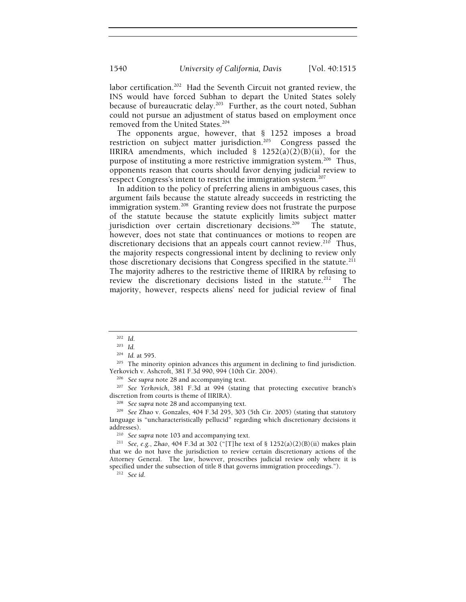labor certification.<sup>202</sup> Had the Seventh Circuit not granted review, the INS would have forced Subhan to depart the United States solely because of bureaucratic delay.<sup>203</sup> Further, as the court noted, Subhan could not pursue an adjustment of status based on employment once removed from the United States.204

The opponents argue, however, that § 1252 imposes a broad restriction on subject matter jurisdiction.<sup>205</sup> Congress passed the IIRIRA amendments, which included  $\S$  1252(a)(2)(B)(ii), for the purpose of instituting a more restrictive immigration system.<sup>206</sup> Thus, opponents reason that courts should favor denying judicial review to respect Congress's intent to restrict the immigration system.207

In addition to the policy of preferring aliens in ambiguous cases, this argument fails because the statute already succeeds in restricting the immigration system.<sup>208</sup> Granting review does not frustrate the purpose of the statute because the statute explicitly limits subject matter jurisdiction over certain discretionary decisions.<sup>209</sup> The statute, however, does not state that continuances or motions to reopen are discretionary decisions that an appeals court cannot review.<sup>210</sup> Thus, the majority respects congressional intent by declining to review only those discretionary decisions that Congress specified in the statute.<sup>211</sup> The majority adheres to the restrictive theme of IIRIRA by refusing to review the discretionary decisions listed in the statute.<sup>212</sup> The majority, however, respects aliens' need for judicial review of final

<sup>205</sup> The minority opinion advances this argument in declining to find jurisdiction.<br>Yerkovich v. Ashcroft, 381 F.3d 990, 994 (10th Cir. 2004).

<sup>206</sup> See supra note 28 and accompanying text.<br><sup>207</sup> See Yerkovich, 381 F.3d at 994 (stating that protecting executive branch's discretion from courts is theme of IIRIRA).<br><sup>208</sup> *See supra* note 28 and accompanying text.<br><sup>209</sup> *See Zhao v. Gonzales, 404 F.3d 295, 303 (5th Cir. 2005) (stating that statutory* 

language is "uncharacteristically pellucid" regarding which discretionary decisions it

<sup>210</sup> See supra note 103 and accompanying text.<br><sup>211</sup> See, e.g., *Zhao*, 404 F.3d at 302 ("[T]he text of § 1252(a)(2)(B)(ii) makes plain that we do not have the jurisdiction to review certain discretionary actions of the Attorney General. The law, however, proscribes judicial review only where it is specified under the subsection of title 8 that governs immigration proceedings."). 212 *See id*.

<sup>202</sup> *Id*. 203 *Id.*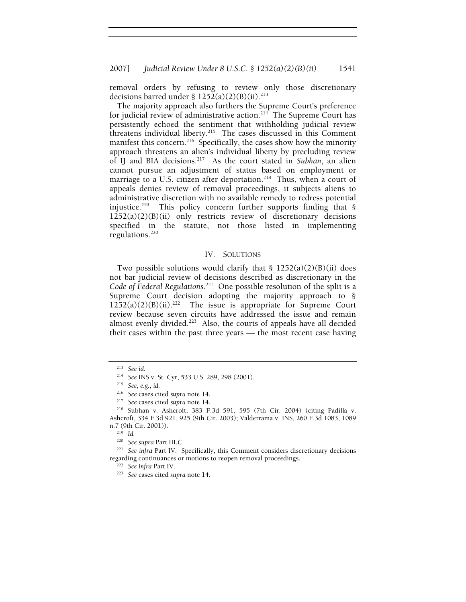removal orders by refusing to review only those discretionary decisions barred under §  $1252(a)(2)(B)(ii).$ <sup>213</sup>

The majority approach also furthers the Supreme Court's preference for judicial review of administrative action.<sup>214</sup> The Supreme Court has persistently echoed the sentiment that withholding judicial review threatens individual liberty.<sup>215</sup> The cases discussed in this Comment manifest this concern.<sup>216</sup> Specifically, the cases show how the minority approach threatens an alien's individual liberty by precluding review of IJ and BIA decisions.217 As the court stated in *Subhan*, an alien cannot pursue an adjustment of status based on employment or marriage to a U.S. citizen after deportation.<sup>218</sup> Thus, when a court of appeals denies review of removal proceedings, it subjects aliens to administrative discretion with no available remedy to redress potential injustice.<sup>219</sup> This policy concern further supports finding that  $\S$  $1252(a)(2)(B)(ii)$  only restricts review of discretionary decisions specified in the statute, not those listed in implementing regulations.220

## IV. SOLUTIONS

Two possible solutions would clarify that  $\S$  1252(a)(2)(B)(ii) does not bar judicial review of decisions described as discretionary in the *Code of Federal Regulations*. 221 One possible resolution of the split is a Supreme Court decision adopting the majority approach to §  $1252(a)(2)(B)(ii).^{222}$  The issue is appropriate for Supreme Court review because seven circuits have addressed the issue and remain almost evenly divided.<sup>223</sup> Also, the courts of appeals have all decided their cases within the past three years — the most recent case having

<sup>221</sup> See infra Part IV. Specifically, this Comment considers discretionary decisions regarding continuances or motions to reopen removal proceedings. 222 *See infra* Part IV. 223 *See* cases cited *supra* note 14.

<sup>213</sup> *See id*. 214 *See* INS v. St. Cyr, 533 U.S. 289, 298 (2001). 215 *See, e.g.*, *id.*

<sup>216</sup> *See* cases cited *supra* note 14. 217 *See* cases cited *supra* note 14. 218 Subhan v. Ashcroft, 383 F.3d 591, 595 (7th Cir. 2004) (citing Padilla v. Ashcroft, 334 F.3d 921, 925 (9th Cir. 2003); Valderrama v. INS, 260 F.3d 1083, 1089 n.7 (9th Cir. 2001)). 219 *Id.*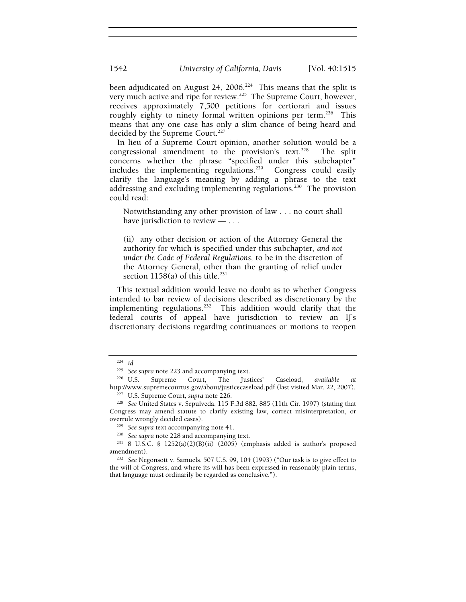been adjudicated on August 24, 2006.<sup>224</sup> This means that the split is very much active and ripe for review.<sup>225</sup> The Supreme Court, however, receives approximately 7,500 petitions for certiorari and issues roughly eighty to ninety formal written opinions per term.<sup>226</sup> This means that any one case has only a slim chance of being heard and decided by the Supreme Court.<sup>227</sup>

In lieu of a Supreme Court opinion, another solution would be a congressional amendment to the provision's text.<sup>228</sup> The split concerns whether the phrase "specified under this subchapter" includes the implementing regulations.<sup>229</sup> Congress could easily clarify the language's meaning by adding a phrase to the text addressing and excluding implementing regulations.<sup>230</sup> The provision could read:

Notwithstanding any other provision of law . . . no court shall have jurisdiction to review — . . .

(ii) any other decision or action of the Attorney General the authority for which is specified under this subchapter*, and not under the Code of Federal Regulations,* to be in the discretion of the Attorney General, other than the granting of relief under section  $1158(a)$  of this title.<sup>231</sup>

This textual addition would leave no doubt as to whether Congress intended to bar review of decisions described as discretionary by the implementing regulations.<sup>232</sup> This addition would clarify that the federal courts of appeal have jurisdiction to review an IJ's discretionary decisions regarding continuances or motions to reopen

<sup>224</sup> *Id.*

<sup>&</sup>lt;sup>225</sup> See supra note 223 and accompanying text.<br><sup>226</sup> U.S. Supreme Court, The Justices' Caseload, *available at* <br>http://www.supremecourtus.gov/about/justicecaseload.pdf (last visited Mar. 22, 2007).

<sup>&</sup>lt;sup>227</sup> U.S. Supreme Court, *supra* note 226.<br><sup>228</sup> See United States v. Sepulveda, 115 F.3d 882, 885 (11th Cir. 1997) (stating that Congress may amend statute to clarify existing law, correct misinterpretation, or

overrule wrongly decided cases). 229 *See supra* text accompanying note 41. 230 *See supra* note 228 and accompanying text. 231 8 U.S.C. § 1252(a)(2)(B)(ii) (2005) (emphasis added is author's proposed amendment). 232 *See* Negonsott v. Samuels, 507 U.S. 99, 104 (1993) ("Our task is to give effect to

the will of Congress, and where its will has been expressed in reasonably plain terms, that language must ordinarily be regarded as conclusive.").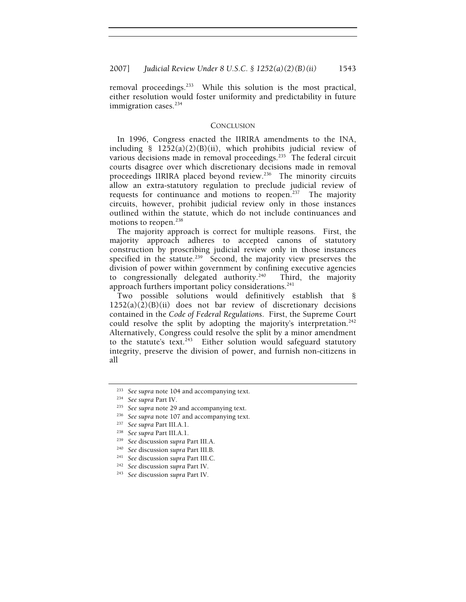removal proceedings.<sup>233</sup> While this solution is the most practical, either resolution would foster uniformity and predictability in future immigration cases.<sup>234</sup>

#### **CONCLUSION**

In 1996, Congress enacted the IIRIRA amendments to the INA, including § 1252(a)(2)(B)(ii), which prohibits judicial review of various decisions made in removal proceedings.<sup>235</sup> The federal circuit courts disagree over which discretionary decisions made in removal proceedings IIRIRA placed beyond review.<sup>236</sup> The minority circuits allow an extra-statutory regulation to preclude judicial review of requests for continuance and motions to reopen.<sup>237</sup> The majority circuits, however, prohibit judicial review only in those instances outlined within the statute, which do not include continuances and motions to reopen.<sup>238</sup>

The majority approach is correct for multiple reasons. First, the majority approach adheres to accepted canons of statutory construction by proscribing judicial review only in those instances specified in the statute.<sup>239</sup> Second, the majority view preserves the division of power within government by confining executive agencies to congressionally delegated authority.240Third, the majority approach furthers important policy considerations.<sup>241</sup>

Two possible solutions would definitively establish that §  $1252(a)(2)(B)(ii)$  does not bar review of discretionary decisions contained in the *Code of Federal Regulations*. First, the Supreme Court could resolve the split by adopting the majority's interpretation.<sup>242</sup> Alternatively, Congress could resolve the split by a minor amendment to the statute's text.<sup>243</sup> Either solution would safeguard statutory integrity, preserve the division of power, and furnish non-citizens in all

<sup>&</sup>lt;sup>233</sup> See supra note 104 and accompanying text.<br><sup>234</sup> See supra Part IV.<br><sup>235</sup> See supra note 29 and accompanying text.<br><sup>236</sup> See supra note 107 and accompanying text.<br><sup>236</sup> See supra Part III.A.1.<br><sup>239</sup> See discussion su